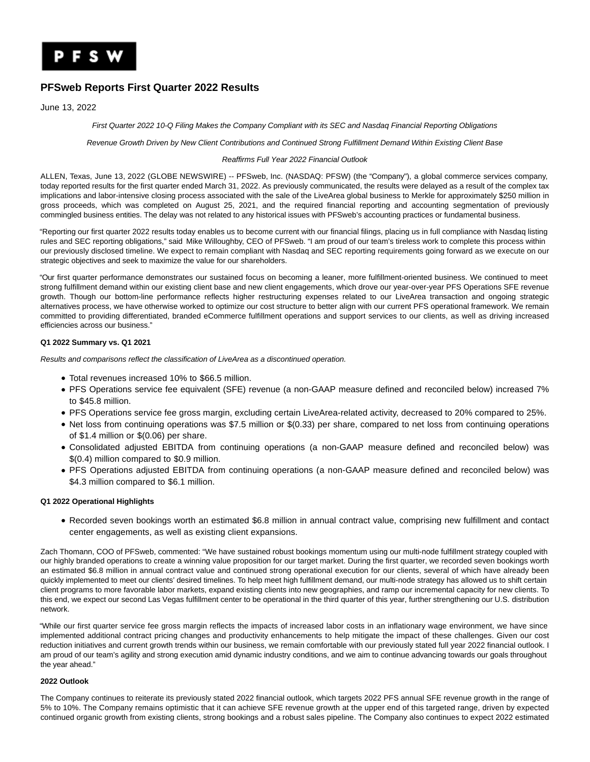

# **PFSweb Reports First Quarter 2022 Results**

June 13, 2022

First Quarter 2022 10-Q Filing Makes the Company Compliant with its SEC and Nasdaq Financial Reporting Obligations

Revenue Growth Driven by New Client Contributions and Continued Strong Fulfillment Demand Within Existing Client Base

### Reaffirms Full Year 2022 Financial Outlook

ALLEN, Texas, June 13, 2022 (GLOBE NEWSWIRE) -- PFSweb, Inc. (NASDAQ: PFSW) (the "Company"), a global commerce services company, today reported results for the first quarter ended March 31, 2022. As previously communicated, the results were delayed as a result of the complex tax implications and labor-intensive closing process associated with the sale of the LiveArea global business to Merkle for approximately \$250 million in gross proceeds, which was completed on August 25, 2021, and the required financial reporting and accounting segmentation of previously commingled business entities. The delay was not related to any historical issues with PFSweb's accounting practices or fundamental business.

"Reporting our first quarter 2022 results today enables us to become current with our financial filings, placing us in full compliance with Nasdaq listing rules and SEC reporting obligations," said Mike Willoughby, CEO of PFSweb. "I am proud of our team's tireless work to complete this process within our previously disclosed timeline. We expect to remain compliant with Nasdaq and SEC reporting requirements going forward as we execute on our strategic objectives and seek to maximize the value for our shareholders.

"Our first quarter performance demonstrates our sustained focus on becoming a leaner, more fulfillment-oriented business. We continued to meet strong fulfillment demand within our existing client base and new client engagements, which drove our year-over-year PFS Operations SFE revenue growth. Though our bottom-line performance reflects higher restructuring expenses related to our LiveArea transaction and ongoing strategic alternatives process, we have otherwise worked to optimize our cost structure to better align with our current PFS operational framework. We remain committed to providing differentiated, branded eCommerce fulfillment operations and support services to our clients, as well as driving increased efficiencies across our business."

# **Q1 2022 Summary vs. Q1 2021**

Results and comparisons reflect the classification of LiveArea as a discontinued operation.

- Total revenues increased 10% to \$66.5 million.
- PFS Operations service fee equivalent (SFE) revenue (a non-GAAP measure defined and reconciled below) increased 7% to \$45.8 million.
- PFS Operations service fee gross margin, excluding certain LiveArea-related activity, decreased to 20% compared to 25%.
- Net loss from continuing operations was \$7.5 million or \$(0.33) per share, compared to net loss from continuing operations of \$1.4 million or \$(0.06) per share.
- Consolidated adjusted EBITDA from continuing operations (a non-GAAP measure defined and reconciled below) was \$(0.4) million compared to \$0.9 million.
- PFS Operations adjusted EBITDA from continuing operations (a non-GAAP measure defined and reconciled below) was \$4.3 million compared to \$6.1 million.

## **Q1 2022 Operational Highlights**

Recorded seven bookings worth an estimated \$6.8 million in annual contract value, comprising new fulfillment and contact center engagements, as well as existing client expansions.

Zach Thomann, COO of PFSweb, commented: "We have sustained robust bookings momentum using our multi-node fulfillment strategy coupled with our highly branded operations to create a winning value proposition for our target market. During the first quarter, we recorded seven bookings worth an estimated \$6.8 million in annual contract value and continued strong operational execution for our clients, several of which have already been quickly implemented to meet our clients' desired timelines. To help meet high fulfillment demand, our multi-node strategy has allowed us to shift certain client programs to more favorable labor markets, expand existing clients into new geographies, and ramp our incremental capacity for new clients. To this end, we expect our second Las Vegas fulfillment center to be operational in the third quarter of this year, further strengthening our U.S. distribution network.

"While our first quarter service fee gross margin reflects the impacts of increased labor costs in an inflationary wage environment, we have since implemented additional contract pricing changes and productivity enhancements to help mitigate the impact of these challenges. Given our cost reduction initiatives and current growth trends within our business, we remain comfortable with our previously stated full year 2022 financial outlook. I am proud of our team's agility and strong execution amid dynamic industry conditions, and we aim to continue advancing towards our goals throughout the year ahead."

# **2022 Outlook**

The Company continues to reiterate its previously stated 2022 financial outlook, which targets 2022 PFS annual SFE revenue growth in the range of 5% to 10%. The Company remains optimistic that it can achieve SFE revenue growth at the upper end of this targeted range, driven by expected continued organic growth from existing clients, strong bookings and a robust sales pipeline. The Company also continues to expect 2022 estimated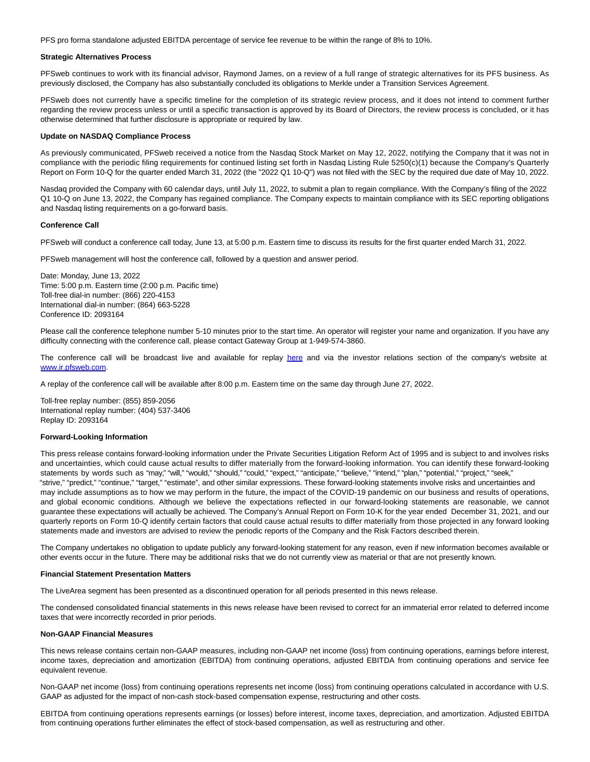PFS pro forma standalone adjusted EBITDA percentage of service fee revenue to be within the range of 8% to 10%.

#### **Strategic Alternatives Process**

PFSweb continues to work with its financial advisor, Raymond James, on a review of a full range of strategic alternatives for its PFS business. As previously disclosed, the Company has also substantially concluded its obligations to Merkle under a Transition Services Agreement.

PFSweb does not currently have a specific timeline for the completion of its strategic review process, and it does not intend to comment further regarding the review process unless or until a specific transaction is approved by its Board of Directors, the review process is concluded, or it has otherwise determined that further disclosure is appropriate or required by law.

#### **Update on NASDAQ Compliance Process**

As previously communicated, PFSweb received a notice from the Nasdaq Stock Market on May 12, 2022, notifying the Company that it was not in compliance with the periodic filing requirements for continued listing set forth in Nasdaq Listing Rule 5250(c)(1) because the Company's Quarterly Report on Form 10-Q for the quarter ended March 31, 2022 (the "2022 Q1 10-Q") was not filed with the SEC by the required due date of May 10, 2022.

Nasdaq provided the Company with 60 calendar days, until July 11, 2022, to submit a plan to regain compliance. With the Company's filing of the 2022 Q1 10-Q on June 13, 2022, the Company has regained compliance. The Company expects to maintain compliance with its SEC reporting obligations and Nasdaq listing requirements on a go-forward basis.

#### **Conference Call**

PFSweb will conduct a conference call today, June 13, at 5:00 p.m. Eastern time to discuss its results for the first quarter ended March 31, 2022.

PFSweb management will host the conference call, followed by a question and answer period.

Date: Monday, June 13, 2022 Time: 5:00 p.m. Eastern time (2:00 p.m. Pacific time) Toll-free dial-in number: (866) 220-4153 International dial-in number: (864) 663-5228 Conference ID: 2093164

Please call the conference telephone number 5-10 minutes prior to the start time. An operator will register your name and organization. If you have any difficulty connecting with the conference call, please contact Gateway Group at 1-949-574-3860.

The conference call will be broadcast live and available for replay [here](https://www.globenewswire.com/Tracker?data=CxmJ-yf_2erQwzIhYcE4DjIpoRKrafFpUaUZo4KxP1cExkqNOUBXa7rRAg8b65JjYM9HtSkt_BftKIgMb8QaeFTOKqwRsu9Tg5Y9hqmxF4c=) and via the investor relations section of the company's website at [www.ir.pfsweb.com.](https://www.globenewswire.com/Tracker?data=Yuf-wtvUVEcsC3UH2-dXoZwVPDz4vL18okL8ZfT_68U3rYg415u6IcLTaEk2Ic1PPg1WCjjXrUM7NPukSr1Qow==)

A replay of the conference call will be available after 8:00 p.m. Eastern time on the same day through June 27, 2022.

Toll-free replay number: (855) 859-2056 International replay number: (404) 537-3406 Replay ID: 2093164

### **Forward-Looking Information**

This press release contains forward-looking information under the Private Securities Litigation Reform Act of 1995 and is subject to and involves risks and uncertainties, which could cause actual results to differ materially from the forward-looking information. You can identify these forward-looking statements by words such as "may," "will," "would," "should," "could," "expect," "anticipate," "believe," "intend," "plan," "potential," "project," "seek," "strive," "predict," "continue," "target," "estimate", and other similar expressions. These forward-looking statements involve risks and uncertainties and may include assumptions as to how we may perform in the future, the impact of the COVID-19 pandemic on our business and results of operations, and global economic conditions. Although we believe the expectations reflected in our forward-looking statements are reasonable, we cannot guarantee these expectations will actually be achieved. The Company's Annual Report on Form 10-K for the year ended December 31, 2021, and our quarterly reports on Form 10-Q identify certain factors that could cause actual results to differ materially from those projected in any forward looking statements made and investors are advised to review the periodic reports of the Company and the Risk Factors described therein.

The Company undertakes no obligation to update publicly any forward-looking statement for any reason, even if new information becomes available or other events occur in the future. There may be additional risks that we do not currently view as material or that are not presently known.

#### **Financial Statement Presentation Matters**

The LiveArea segment has been presented as a discontinued operation for all periods presented in this news release.

The condensed consolidated financial statements in this news release have been revised to correct for an immaterial error related to deferred income taxes that were incorrectly recorded in prior periods.

#### **Non-GAAP Financial Measures**

This news release contains certain non-GAAP measures, including non-GAAP net income (loss) from continuing operations, earnings before interest, income taxes, depreciation and amortization (EBITDA) from continuing operations, adjusted EBITDA from continuing operations and service fee equivalent revenue.

Non-GAAP net income (loss) from continuing operations represents net income (loss) from continuing operations calculated in accordance with U.S. GAAP as adjusted for the impact of non-cash stock-based compensation expense, restructuring and other costs.

EBITDA from continuing operations represents earnings (or losses) before interest, income taxes, depreciation, and amortization. Adjusted EBITDA from continuing operations further eliminates the effect of stock-based compensation, as well as restructuring and other.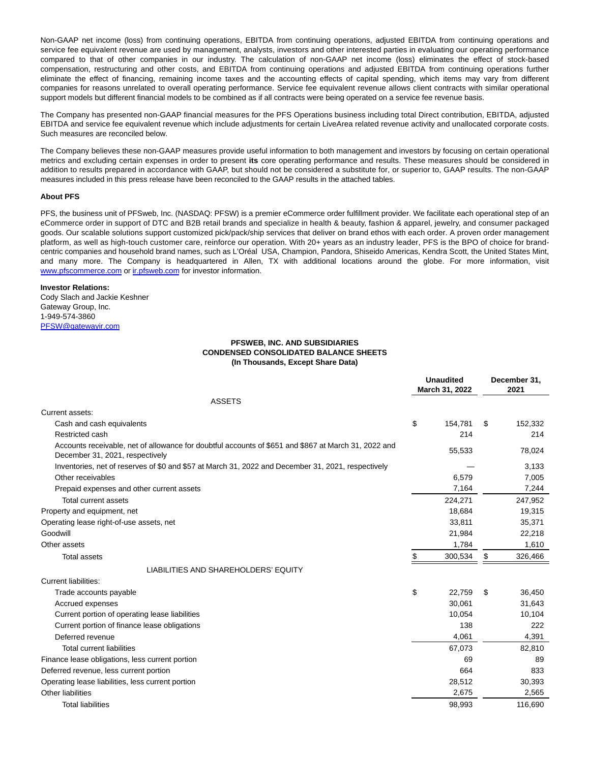Non-GAAP net income (loss) from continuing operations, EBITDA from continuing operations, adjusted EBITDA from continuing operations and service fee equivalent revenue are used by management, analysts, investors and other interested parties in evaluating our operating performance compared to that of other companies in our industry. The calculation of non-GAAP net income (loss) eliminates the effect of stock-based compensation, restructuring and other costs, and EBITDA from continuing operations and adjusted EBITDA from continuing operations further eliminate the effect of financing, remaining income taxes and the accounting effects of capital spending, which items may vary from different companies for reasons unrelated to overall operating performance. Service fee equivalent revenue allows client contracts with similar operational support models but different financial models to be combined as if all contracts were being operated on a service fee revenue basis.

The Company has presented non-GAAP financial measures for the PFS Operations business including total Direct contribution, EBITDA, adjusted EBITDA and service fee equivalent revenue which include adjustments for certain LiveArea related revenue activity and unallocated corporate costs. Such measures are reconciled below.

The Company believes these non-GAAP measures provide useful information to both management and investors by focusing on certain operational metrics and excluding certain expenses in order to present **its** core operating performance and results. These measures should be considered in addition to results prepared in accordance with GAAP, but should not be considered a substitute for, or superior to, GAAP results. The non-GAAP measures included in this press release have been reconciled to the GAAP results in the attached tables.

### **About PFS**

PFS, the business unit of PFSweb, Inc. (NASDAQ: PFSW) is a premier eCommerce order fulfillment provider. We facilitate each operational step of an eCommerce order in support of DTC and B2B retail brands and specialize in health & beauty, fashion & apparel, jewelry, and consumer packaged goods. Our scalable solutions support customized pick/pack/ship services that deliver on brand ethos with each order. A proven order management platform, as well as high-touch customer care, reinforce our operation. With 20+ years as an industry leader, PFS is the BPO of choice for brandcentric companies and household brand names, such as L'Oréal USA, Champion, Pandora, Shiseido Americas, Kendra Scott, the United States Mint, and many more. The Company is headquartered in Allen, TX with additional locations around the globe. For more information, visit [www.pfscommerce.com o](https://www.globenewswire.com/Tracker?data=Tc5DWEhwJf9JixsgmqFWHNlsqsrzZBFt8MHFpiV9bGcAFqVVGaGNqOTKJ79M1_Em5OZobNNFhqn5ylZ8Vc-hx_yEoiANMSiIVK7ba7oQcxw=)r [ir.pfsweb.com f](https://www.globenewswire.com/Tracker?data=-iWw_6G0NzHsgpSPLFfdxSX44lr1MD2VuK-BnMxcJM3Fa1_XRiZ-pgnvzqU4h3v3DlwUS6a0qlVAlC8_QJWGAQ==)or investor information.

#### **Investor Relations:**

Cody Slach and Jackie Keshner Gateway Group, Inc. 1-949-574-3860 [PFSW@gatewayir.com](https://www.globenewswire.com/Tracker?data=UEukAg6iTMdadil9A3byzQJFcJFHj4brQLzgDfm13l8hFpZGZvvPGjfbdo7dwIqeJxCE4KC9UUKhUUwpYxSxtEsCiycBuQG2rLGZODIOL_Y=)

## **PFSWEB, INC. AND SUBSIDIARIES CONDENSED CONSOLIDATED BALANCE SHEETS (In Thousands, Except Share Data)**

|                                                                                                                                         | <b>Unaudited</b><br>March 31, 2022 |    | December 31,<br>2021 |  |
|-----------------------------------------------------------------------------------------------------------------------------------------|------------------------------------|----|----------------------|--|
| <b>ASSETS</b>                                                                                                                           |                                    |    |                      |  |
| Current assets:                                                                                                                         |                                    |    |                      |  |
| Cash and cash equivalents                                                                                                               | \$<br>154,781                      | S  | 152,332              |  |
| Restricted cash                                                                                                                         | 214                                |    | 214                  |  |
| Accounts receivable, net of allowance for doubtful accounts of \$651 and \$867 at March 31, 2022 and<br>December 31, 2021, respectively | 55,533                             |    | 78,024               |  |
| Inventories, net of reserves of \$0 and \$57 at March 31, 2022 and December 31, 2021, respectively                                      |                                    |    | 3,133                |  |
| Other receivables                                                                                                                       | 6,579                              |    | 7,005                |  |
| Prepaid expenses and other current assets                                                                                               | 7,164                              |    | 7,244                |  |
| Total current assets                                                                                                                    | 224,271                            |    | 247,952              |  |
| Property and equipment, net                                                                                                             | 18,684                             |    | 19,315               |  |
| Operating lease right-of-use assets, net                                                                                                | 33,811                             |    | 35,371               |  |
| Goodwill                                                                                                                                | 21,984                             |    | 22,218               |  |
| Other assets                                                                                                                            | 1,784                              |    | 1,610                |  |
| <b>Total assets</b>                                                                                                                     | \$<br>300,534                      | \$ | 326,466              |  |
| LIABILITIES AND SHAREHOLDERS' EQUITY                                                                                                    |                                    |    |                      |  |
| <b>Current liabilities:</b>                                                                                                             |                                    |    |                      |  |
| Trade accounts payable                                                                                                                  | \$<br>22.759                       | \$ | 36,450               |  |
| Accrued expenses                                                                                                                        | 30,061                             |    | 31,643               |  |
| Current portion of operating lease liabilities                                                                                          | 10,054                             |    | 10,104               |  |
| Current portion of finance lease obligations                                                                                            | 138                                |    | 222                  |  |
| Deferred revenue                                                                                                                        | 4,061                              |    | 4,391                |  |
| <b>Total current liabilities</b>                                                                                                        | 67,073                             |    | 82,810               |  |
| Finance lease obligations, less current portion                                                                                         | 69                                 |    | 89                   |  |
| Deferred revenue, less current portion                                                                                                  | 664                                |    | 833                  |  |
| Operating lease liabilities, less current portion                                                                                       | 28,512                             |    | 30,393               |  |
| Other liabilities                                                                                                                       | 2,675                              |    | 2,565                |  |
| <b>Total liabilities</b>                                                                                                                | 98,993                             |    | 116,690              |  |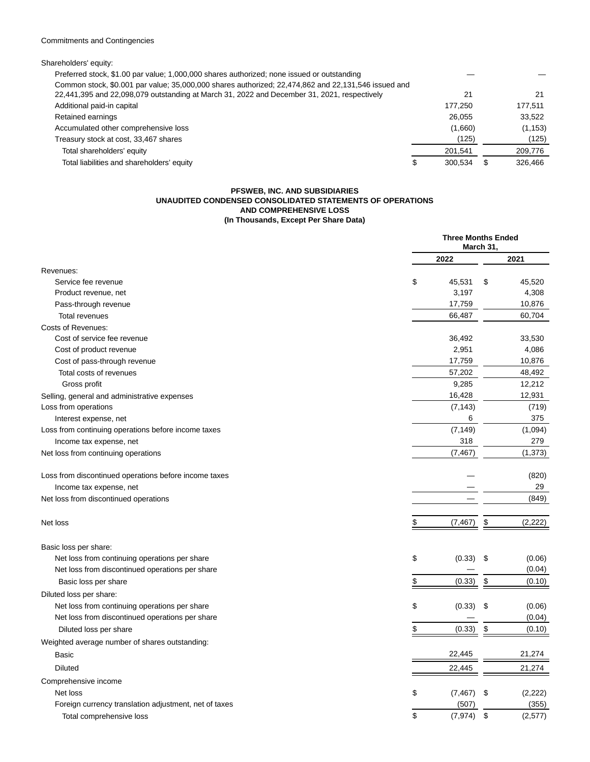# Commitments and Contingencies

| Shareholders' equity:                                                                               |         |    |          |
|-----------------------------------------------------------------------------------------------------|---------|----|----------|
| Preferred stock, \$1.00 par value; 1,000,000 shares authorized; none issued or outstanding          |         |    |          |
| Common stock, \$0.001 par value; 35,000,000 shares authorized; 22,474,862 and 22,131,546 issued and |         |    |          |
| 22,441,395 and 22,098,079 outstanding at March 31, 2022 and December 31, 2021, respectively         | 21      |    | 21       |
| Additional paid-in capital                                                                          | 177.250 |    | 177.511  |
| Retained earnings                                                                                   | 26.055  |    | 33.522   |
| Accumulated other comprehensive loss                                                                | (1,660) |    | (1, 153) |
| Treasury stock at cost, 33,467 shares                                                               | (125)   |    | (125)    |
| Total shareholders' equity                                                                          | 201,541 |    | 209,776  |
| Total liabilities and shareholders' equity                                                          | 300.534 | S. | 326.466  |
|                                                                                                     |         |    |          |

### **PFSWEB, INC. AND SUBSIDIARIES UNAUDITED CONDENSED CONSOLIDATED STATEMENTS OF OPERATIONS AND COMPREHENSIVE LOSS (In Thousands, Except Per Share Data)**

|                                                       | <b>Three Months Ended</b><br>March 31, |                |  |
|-------------------------------------------------------|----------------------------------------|----------------|--|
|                                                       | 2022                                   | 2021           |  |
| Revenues:                                             |                                        |                |  |
| Service fee revenue                                   | \$<br>45,531                           | \$<br>45,520   |  |
| Product revenue, net                                  | 3,197                                  | 4,308          |  |
| Pass-through revenue                                  | 17,759                                 | 10,876         |  |
| <b>Total revenues</b>                                 | 66,487                                 | 60,704         |  |
| <b>Costs of Revenues:</b>                             |                                        |                |  |
| Cost of service fee revenue                           | 36,492                                 | 33,530         |  |
| Cost of product revenue                               | 2,951                                  | 4,086          |  |
| Cost of pass-through revenue                          | 17,759                                 | 10,876         |  |
| Total costs of revenues                               | 57,202                                 | 48,492         |  |
| Gross profit                                          | 9,285                                  | 12,212         |  |
| Selling, general and administrative expenses          | 16,428                                 | 12,931         |  |
| Loss from operations                                  | (7, 143)                               | (719)          |  |
| Interest expense, net                                 | 6                                      | 375            |  |
| Loss from continuing operations before income taxes   | (7, 149)                               | (1,094)        |  |
| Income tax expense, net                               | 318                                    | 279            |  |
| Net loss from continuing operations                   | (7, 467)                               | (1, 373)       |  |
| Loss from discontinued operations before income taxes |                                        | (820)          |  |
| Income tax expense, net                               |                                        | 29             |  |
| Net loss from discontinued operations                 |                                        | (849)          |  |
| Net loss                                              | (7, 467)                               | \$<br>(2, 222) |  |
|                                                       |                                        |                |  |
| Basic loss per share:                                 |                                        |                |  |
| Net loss from continuing operations per share         | \$<br>(0.33)                           | \$<br>(0.06)   |  |
| Net loss from discontinued operations per share       |                                        | (0.04)         |  |
| Basic loss per share                                  | \$<br>(0.33)                           | \$<br>(0.10)   |  |
| Diluted loss per share:                               |                                        |                |  |
| Net loss from continuing operations per share         | \$<br>(0.33)                           | \$<br>(0.06)   |  |
| Net loss from discontinued operations per share       |                                        | (0.04)         |  |
| Diluted loss per share                                | \$<br>(0.33)                           | \$<br>(0.10)   |  |
| Weighted average number of shares outstanding:        |                                        |                |  |
| <b>Basic</b>                                          | 22,445                                 | 21,274         |  |
| <b>Diluted</b>                                        | 22,445                                 | 21,274         |  |
| Comprehensive income                                  |                                        |                |  |
| Net loss                                              | \$<br>(7, 467)                         | \$<br>(2, 222) |  |
| Foreign currency translation adjustment, net of taxes | (507)                                  | (355)          |  |
| Total comprehensive loss                              | \$<br>(7, 974)                         | \$<br>(2,577)  |  |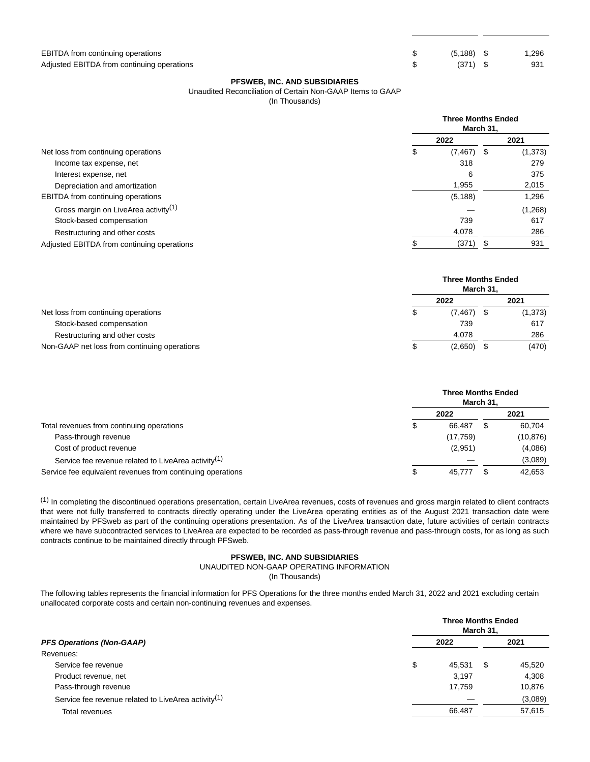| \$<br>$(5, 188)$ \$ | 1,296 |
|---------------------|-------|
| \$<br>$(371)$ \$    | 931   |

## **PFSWEB, INC. AND SUBSIDIARIES**

# Unaudited Reconciliation of Certain Non-GAAP Items to GAAP

(In Thousands)

|                                                  | <b>Three Months Ended</b><br>March 31, |                |          |  |
|--------------------------------------------------|----------------------------------------|----------------|----------|--|
|                                                  | 2022                                   |                | 2021     |  |
| Net loss from continuing operations              | S                                      | (7, 467)<br>\$ | (1, 373) |  |
| Income tax expense, net                          |                                        | 318            | 279      |  |
| Interest expense, net                            |                                        | 6              | 375      |  |
| Depreciation and amortization                    |                                        | 1,955          | 2,015    |  |
| <b>EBITDA</b> from continuing operations         |                                        | (5, 188)       | 1.296    |  |
| Gross margin on LiveArea activity <sup>(1)</sup> |                                        |                | (1,268)  |  |
| Stock-based compensation                         |                                        | 739            | 617      |  |
| Restructuring and other costs                    |                                        | 4,078          | 286      |  |
| Adjusted EBITDA from continuing operations       |                                        | (371)<br>S     | 931      |  |

|                                              | <b>Three Months Ended</b><br>March 31, |         |  |          |
|----------------------------------------------|----------------------------------------|---------|--|----------|
|                                              |                                        | 2022    |  | 2021     |
| Net loss from continuing operations          |                                        | (7,467) |  | (1, 373) |
| Stock-based compensation                     |                                        | 739     |  | 617      |
| Restructuring and other costs                |                                        | 4.078   |  | 286      |
| Non-GAAP net loss from continuing operations | ۰D                                     | (2,650) |  | (470)    |

|                                                                 | <b>Three Months Ended</b><br>March 31, |           |  |           |
|-----------------------------------------------------------------|----------------------------------------|-----------|--|-----------|
|                                                                 |                                        | 2022      |  | 2021      |
| Total revenues from continuing operations                       |                                        | 66.487    |  | 60,704    |
| Pass-through revenue                                            |                                        | (17, 759) |  | (10, 876) |
| Cost of product revenue                                         |                                        | (2,951)   |  | (4,086)   |
| Service fee revenue related to LiveArea activity <sup>(1)</sup> |                                        |           |  | (3,089)   |
| Service fee equivalent revenues from continuing operations      | Œ.                                     | 45.777    |  | 42,653    |

(1) In completing the discontinued operations presentation, certain LiveArea revenues, costs of revenues and gross margin related to client contracts that were not fully transferred to contracts directly operating under the LiveArea operating entities as of the August 2021 transaction date were maintained by PFSweb as part of the continuing operations presentation. As of the LiveArea transaction date, future activities of certain contracts where we have subcontracted services to LiveArea are expected to be recorded as pass-through revenue and pass-through costs, for as long as such contracts continue to be maintained directly through PFSweb.

### **PFSWEB, INC. AND SUBSIDIARIES**

UNAUDITED NON-GAAP OPERATING INFORMATION

(In Thousands)

The following tables represents the financial information for PFS Operations for the three months ended March 31, 2022 and 2021 excluding certain unallocated corporate costs and certain non-continuing revenues and expenses.

|                                                                 | <b>Three Months Ended</b><br>March 31, |        |      |         |
|-----------------------------------------------------------------|----------------------------------------|--------|------|---------|
| <b>PFS Operations (Non-GAAP)</b>                                |                                        | 2022   | 2021 |         |
| Revenues:                                                       |                                        |        |      |         |
| Service fee revenue                                             | \$                                     | 45,531 | S    | 45,520  |
| Product revenue, net                                            |                                        | 3.197  |      | 4.308   |
| Pass-through revenue                                            |                                        | 17.759 |      | 10,876  |
| Service fee revenue related to LiveArea activity <sup>(1)</sup> |                                        |        |      | (3,089) |
| Total revenues                                                  |                                        | 66,487 |      | 57,615  |